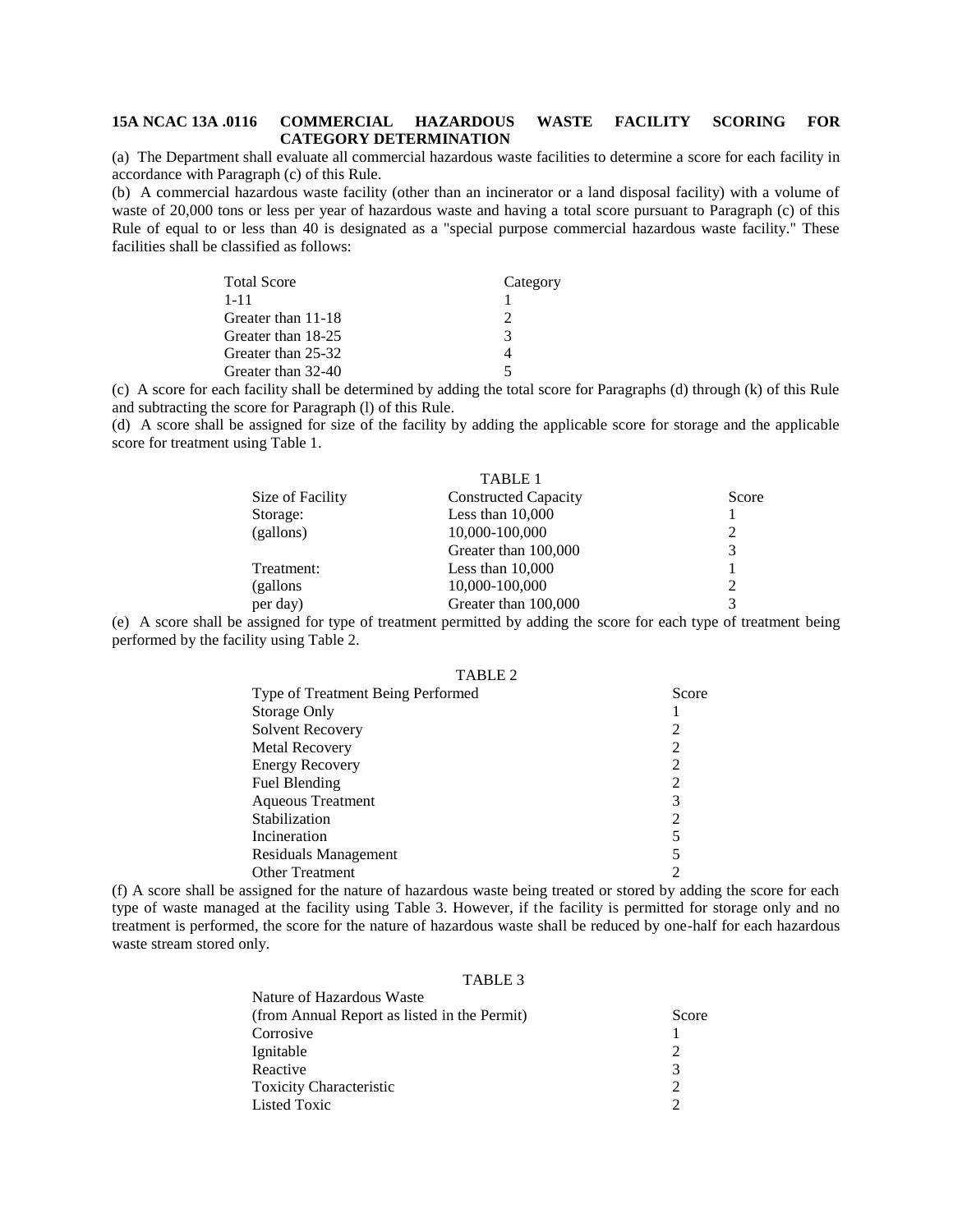## **15A NCAC 13A .0116 COMMERCIAL HAZARDOUS WASTE FACILITY SCORING FOR CATEGORY DETERMINATION**

(a) The Department shall evaluate all commercial hazardous waste facilities to determine a score for each facility in accordance with Paragraph (c) of this Rule.

(b) A commercial hazardous waste facility (other than an incinerator or a land disposal facility) with a volume of waste of 20,000 tons or less per year of hazardous waste and having a total score pursuant to Paragraph (c) of this Rule of equal to or less than 40 is designated as a "special purpose commercial hazardous waste facility." These facilities shall be classified as follows:

| Total Score        | Category |
|--------------------|----------|
| $1 - 11$           |          |
| Greater than 11-18 | 2        |
| Greater than 18-25 | 3        |
| Greater than 25-32 |          |
| Greater than 32-40 | 5        |

(c) A score for each facility shall be determined by adding the total score for Paragraphs (d) through (k) of this Rule and subtracting the score for Paragraph (l) of this Rule.

(d) A score shall be assigned for size of the facility by adding the applicable score for storage and the applicable score for treatment using Table 1.

|                  | TABLE 1                     |       |
|------------------|-----------------------------|-------|
| Size of Facility | <b>Constructed Capacity</b> | Score |
| Storage:         | Less than $10,000$          |       |
| (gallons)        | 10,000-100,000              | 2     |
|                  | Greater than 100,000        | 3     |
| Treatment:       | Less than $10,000$          |       |
| (gallons)        | 10,000-100,000              | 2     |
| per day)         | Greater than 100,000        | 3     |

(e) A score shall be assigned for type of treatment permitted by adding the score for each type of treatment being performed by the facility using Table 2.

| TABLE <sub>2</sub>                |                |
|-----------------------------------|----------------|
| Type of Treatment Being Performed | Score          |
| Storage Only                      |                |
| <b>Solvent Recovery</b>           | 2              |
| <b>Metal Recovery</b>             | $\overline{c}$ |
| <b>Energy Recovery</b>            | 2              |
| Fuel Blending                     | 2              |
| <b>Aqueous Treatment</b>          | 3              |
| Stabilization                     | 2              |
| Incineration                      | 5              |
| Residuals Management              | 5              |
| <b>Other Treatment</b>            |                |

(f) A score shall be assigned for the nature of hazardous waste being treated or stored by adding the score for each type of waste managed at the facility using Table 3. However, if the facility is permitted for storage only and no treatment is performed, the score for the nature of hazardous waste shall be reduced by one-half for each hazardous waste stream stored only.

## TABLE 3

| Tratule of Tiazaruous Waste                  |                             |
|----------------------------------------------|-----------------------------|
| (from Annual Report as listed in the Permit) | Score                       |
| Corrosive                                    |                             |
| Ignitable                                    | $\mathcal{D}_{\mathcal{L}}$ |
| Reactive                                     | 3                           |
| <b>Toxicity Characteristic</b>               | $\mathcal{D}_{\mathcal{L}}$ |
| <b>Listed Toxic</b>                          |                             |
|                                              |                             |

Nature of Hazardous Waste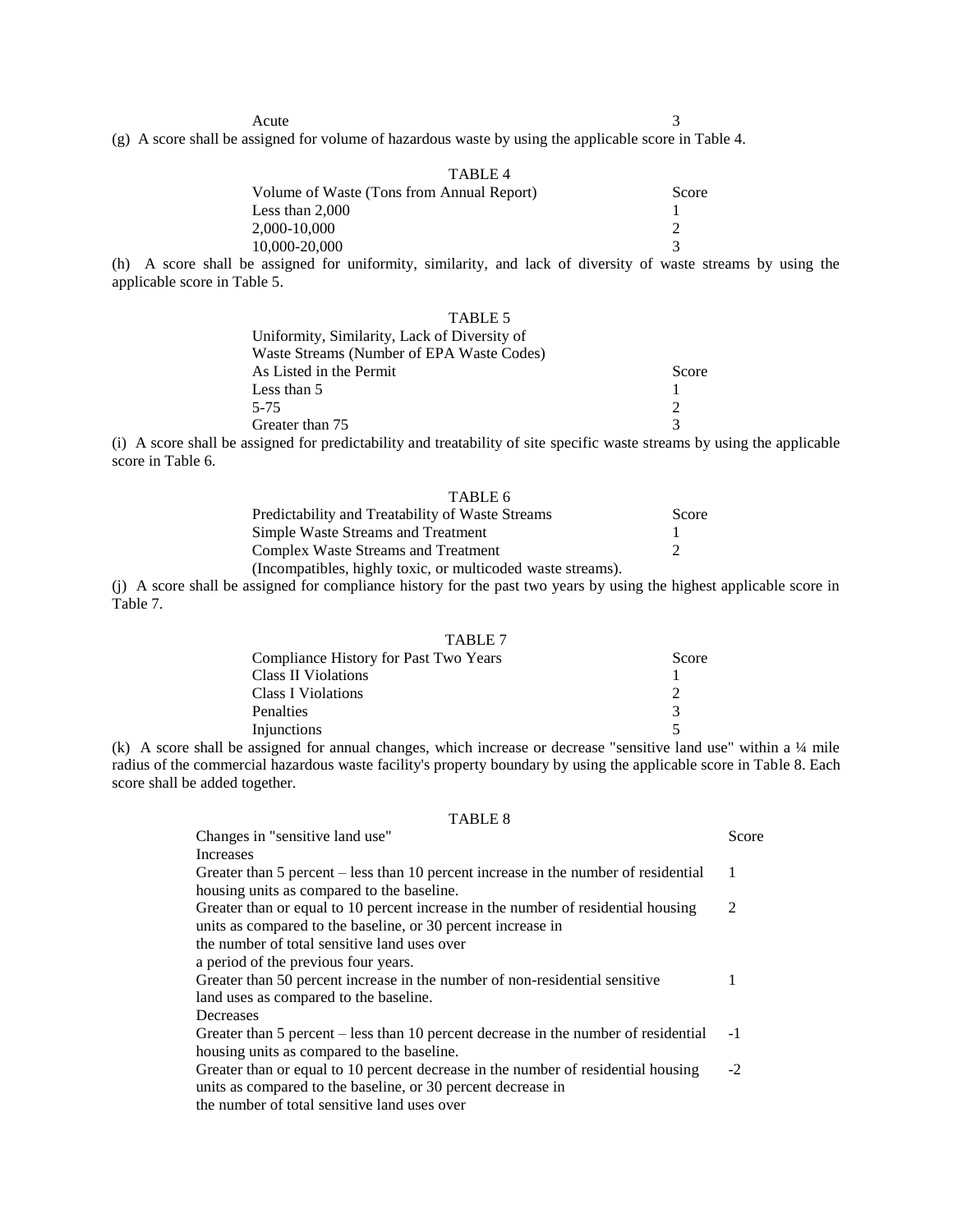Acute 3

(g) A score shall be assigned for volume of hazardous waste by using the applicable score in Table 4.

| TABLE 4                                   |       |
|-------------------------------------------|-------|
| Volume of Waste (Tons from Annual Report) | Score |
| Less than $2,000$                         |       |
| 2.000-10.000                              |       |
| 10,000-20,000                             |       |
|                                           |       |

(h) A score shall be assigned for uniformity, similarity, and lack of diversity of waste streams by using the applicable score in Table 5.

| TABLE 5                                      |                             |
|----------------------------------------------|-----------------------------|
| Uniformity, Similarity, Lack of Diversity of |                             |
| Waste Streams (Number of EPA Waste Codes)    |                             |
| As Listed in the Permit                      | Score                       |
| Less than 5                                  |                             |
| 5-75                                         | $\mathcal{D}_{\mathcal{L}}$ |
| Greater than 75                              | $\mathcal{R}$               |
|                                              |                             |

(i) A score shall be assigned for predictability and treatability of site specific waste streams by using the applicable score in Table 6.

| TABLE 6                                                     |       |
|-------------------------------------------------------------|-------|
| Predictability and Treatability of Waste Streams            | Score |
| Simple Waste Streams and Treatment                          |       |
| Complex Waste Streams and Treatment                         |       |
| (Incompatibles, highly toxic, or multicoded waste streams). |       |

(j) A score shall be assigned for compliance history for the past two years by using the highest applicable score in Table 7.

| TABLE 7                               |               |
|---------------------------------------|---------------|
| Compliance History for Past Two Years | Score         |
| Class II Violations                   |               |
| <b>Class I Violations</b>             | $\mathcal{D}$ |
| <b>Penalties</b>                      | $\mathcal{R}$ |
| Injunctions                           |               |

(k) A score shall be assigned for annual changes, which increase or decrease "sensitive land use" within a ¼ mile radius of the commercial hazardous waste facility's property boundary by using the applicable score in Table 8. Each score shall be added together.

## TABLE 8

| Changes in "sensitive land use"                                                     | Score |
|-------------------------------------------------------------------------------------|-------|
| <b>Increases</b>                                                                    |       |
| Greater than 5 percent – less than 10 percent increase in the number of residential | 1     |
| housing units as compared to the baseline.                                          |       |
| Greater than or equal to 10 percent increase in the number of residential housing   | 2     |
| units as compared to the baseline, or 30 percent increase in                        |       |
| the number of total sensitive land uses over                                        |       |
| a period of the previous four years.                                                |       |
| Greater than 50 percent increase in the number of non-residential sensitive         |       |
| land uses as compared to the baseline.                                              |       |
| Decreases                                                                           |       |
| Greater than 5 percent – less than 10 percent decrease in the number of residential | $-1$  |
| housing units as compared to the baseline.                                          |       |
| Greater than or equal to 10 percent decrease in the number of residential housing   | $-2$  |
| units as compared to the baseline, or 30 percent decrease in                        |       |
| the number of total sensitive land uses over                                        |       |